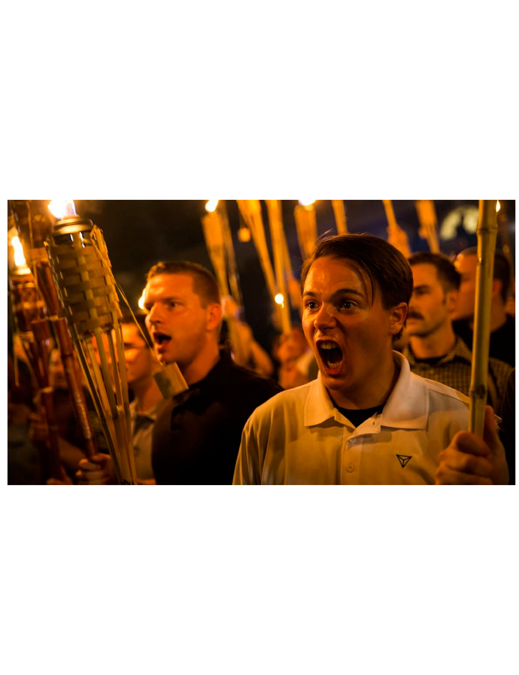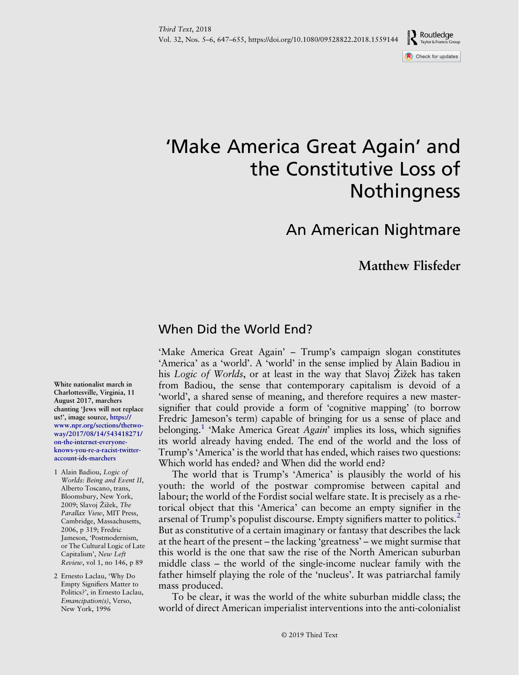

# 'Make America Great Again' and the Constitutive Loss of Nothingness

## An American Nightmare

### Matthew Flisfeder

#### When Did the World End?

'Make America Great Again' – Trump's campaign slogan constitutes 'America' as a 'world'. A 'world' in the sense implied by Alain Badiou in his Logic of Worlds, or at least in the way that Slavoj Žižek has taken from Badiou, the sense that contemporary capitalism is devoid of a 'world', a shared sense of meaning, and therefore requires a new mastersignifier that could provide a form of 'cognitive mapping' (to borrow Fredric Jameson's term) capable of bringing for us a sense of place and belonging.<sup>1</sup> 'Make America Great Again' implies its loss, which signifies its world already having ended. The end of the world and the loss of Trump's 'America' is the world that has ended, which raises two questions: Which world has ended? and When did the world end?

The world that is Trump's 'America' is plausibly the world of his youth: the world of the postwar compromise between capital and labour; the world of the Fordist social welfare state. It is precisely as a rhetorical object that this 'America' can become an empty signifier in the arsenal of Trump's populist discourse. Empty signifiers matter to politics.<sup>2</sup> But as constitutive of a certain imaginary or fantasy that describes the lack at the heart of the present – the lacking 'greatness' – we might surmise that this world is the one that saw the rise of the North American suburban middle class – the world of the single-income nuclear family with the father himself playing the role of the 'nucleus'. It was patriarchal family mass produced.

To be clear, it was the world of the white suburban middle class; the world of direct American imperialist interventions into the anti-colonialist

White nationalist march in Charlottesville, Virginia, 11 August 2017, marchers chanting 'Jews will not replace us!', image source, [https://](https://www.npr.org/sections/thetwo-way/2017/08/14/543418271/on-the-internet-everyone-knows-you-re-a-racist-twitter-account-ids-marchers) [www.npr.org/sections/thetwo](https://www.npr.org/sections/thetwo-way/2017/08/14/543418271/on-the-internet-everyone-knows-you-re-a-racist-twitter-account-ids-marchers)[way/2017/08/14/543418271/](https://www.npr.org/sections/thetwo-way/2017/08/14/543418271/on-the-internet-everyone-knows-you-re-a-racist-twitter-account-ids-marchers) [on-the-internet-everyone](https://www.npr.org/sections/thetwo-way/2017/08/14/543418271/on-the-internet-everyone-knows-you-re-a-racist-twitter-account-ids-marchers)[knows-you-re-a-racist-twitter](https://www.npr.org/sections/thetwo-way/2017/08/14/543418271/on-the-internet-everyone-knows-you-re-a-racist-twitter-account-ids-marchers)[account-ids-marchers](https://www.npr.org/sections/thetwo-way/2017/08/14/543418271/on-the-internet-everyone-knows-you-re-a-racist-twitter-account-ids-marchers)

- 1 Alain Badiou, Logic of Worlds: Being and Event II, Alberto Toscano, trans, Bloomsbury, New York, 2009; Slavoj Žižek, The Parallax View, MIT Press, Cambridge, Massachusetts, 2006, p 319; Fredric Jameson, 'Postmodernism, or The Cultural Logic of Late Capitalism', New Left Review, vol 1, no 146, p 89
- 2 Ernesto Laclau, 'Why Do Empty Signifiers Matter to Politics?', in Ernesto Laclau, Emancipation(s), Verso, New York, 1996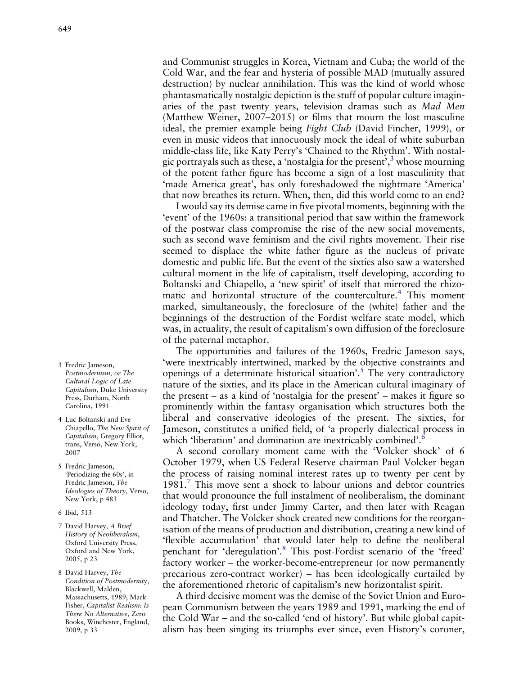and Communist struggles in Korea, Vietnam and Cuba; the world of the Cold War, and the fear and hysteria of possible MAD (mutually assured destruction) by nuclear annihilation. This was the kind of world whose phantasmatically nostalgic depiction is the stuff of popular culture imaginaries of the past twenty years, television dramas such as Mad Men (Matthew Weiner, 2007–2015) or films that mourn the lost masculine ideal, the premier example being Fight Club (David Fincher, 1999), or even in music videos that innocuously mock the ideal of white suburban middle-class life, like Katy Perry's 'Chained to the Rhythm'. With nostalgic portrayals such as these, a 'nostalgia for the present',<sup>3</sup> whose mourning of the potent father figure has become a sign of a lost masculinity that 'made America great', has only foreshadowed the nightmare 'America' that now breathes its return. When, then, did this world come to an end?

I would say its demise came in five pivotal moments, beginning with the 'event' of the 1960s: a transitional period that saw within the framework of the postwar class compromise the rise of the new social movements, such as second wave feminism and the civil rights movement. Their rise seemed to displace the white father figure as the nucleus of private domestic and public life. But the event of the sixties also saw a watershed cultural moment in the life of capitalism, itself developing, according to Boltanski and Chiapello, a 'new spirit' of itself that mirrored the rhizomatic and horizontal structure of the counterculture.<sup>4</sup> This moment marked, simultaneously, the foreclosure of the (white) father and the beginnings of the destruction of the Fordist welfare state model, which was, in actuality, the result of capitalism's own diffusion of the foreclosure of the paternal metaphor.

The opportunities and failures of the 1960s, Fredric Jameson says, 'were inextricably intertwined, marked by the objective constraints and openings of a determinate historical situation'. <sup>5</sup> The very contradictory nature of the sixties, and its place in the American cultural imaginary of the present – as a kind of 'nostalgia for the present' – makes it figure so prominently within the fantasy organisation which structures both the liberal and conservative ideologies of the present. The sixties, for Jameson, constitutes a unified field, of 'a properly dialectical process in which 'liberation' and domination are inextricably combined'.<sup>6</sup>

A second corollary moment came with the 'Volcker shock' of 6 October 1979, when US Federal Reserve chairman Paul Volcker began the process of raising nominal interest rates up to twenty per cent by 1981.<sup>7</sup> This move sent a shock to labour unions and debtor countries that would pronounce the full instalment of neoliberalism, the dominant ideology today, first under Jimmy Carter, and then later with Reagan and Thatcher. The Volcker shock created new conditions for the reorganisation of the means of production and distribution, creating a new kind of 'flexible accumulation' that would later help to define the neoliberal penchant for 'deregulation'. <sup>8</sup> This post-Fordist scenario of the 'freed' factory worker – the worker-become-entrepreneur (or now permanently precarious zero-contract worker) – has been ideologically curtailed by the aforementioned rhetoric of capitalism's new horizontalist spirit.

A third decisive moment was the demise of the Soviet Union and European Communism between the years 1989 and 1991, marking the end of the Cold War – and the so-called 'end of history'. But while global capitalism has been singing its triumphs ever since, even History's coroner,

- 3 Fredric Jameson, Postmodernism, or The Cultural Logic of Late Capitalism, Duke University Press, Durham, North Carolina, 1991
- 4 Luc Boltanski and Eve Chiapello, The New Spirit of Capitalism, Gregory Elliot, trans, Verso, New York, 2007
- 5 Fredric Jameson, 'Periodizing the 60s', in Fredric Jameson, The Ideologies of Theory, Verso, New York, p 483
- 6 Ibid, 513
- 7 David Harvey, A Brief History of Neoliberalism, Oxford University Press, Oxford and New York, 2005, p 23
- 8 David Harvey, The Condition of Postmodernity, Blackwell, Malden, Massachusetts, 1989; Mark Fisher, Capitalist Realism: Is There No Alternative, Zero Books, Winchester, England, 2009, p 33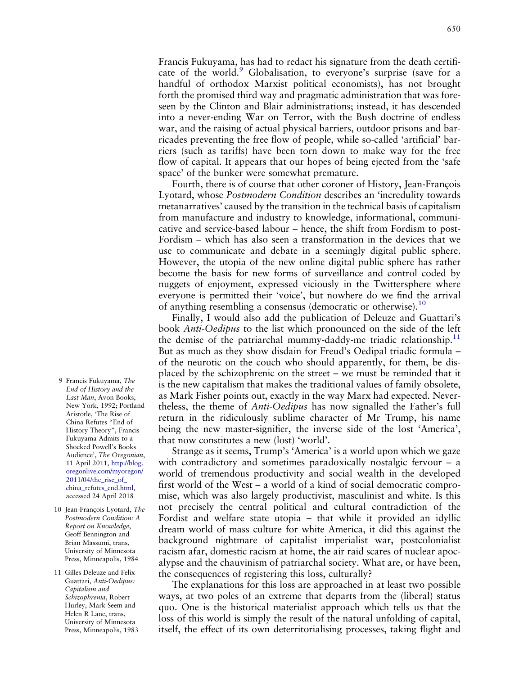Francis Fukuyama, has had to redact his signature from the death certificate of the world.<sup>9</sup> Globalisation, to everyone's surprise (save for a handful of orthodox Marxist political economists), has not brought forth the promised third way and pragmatic administration that was foreseen by the Clinton and Blair administrations; instead, it has descended into a never-ending War on Terror, with the Bush doctrine of endless war, and the raising of actual physical barriers, outdoor prisons and barricades preventing the free flow of people, while so-called 'artificial' barriers (such as tariffs) have been torn down to make way for the free flow of capital. It appears that our hopes of being ejected from the 'safe space' of the bunker were somewhat premature.

Fourth, there is of course that other coroner of History, Jean-François Lyotard, whose Postmodern Condition describes an 'incredulity towards metanarratives' caused by the transition in the technical basis of capitalism from manufacture and industry to knowledge, informational, communicative and service-based labour – hence, the shift from Fordism to post-Fordism – which has also seen a transformation in the devices that we use to communicate and debate in a seemingly digital public sphere. However, the utopia of the new online digital public sphere has rather become the basis for new forms of surveillance and control coded by nuggets of enjoyment, expressed viciously in the Twittersphere where everyone is permitted their 'voice', but nowhere do we find the arrival of anything resembling a consensus (democratic or otherwise).<sup>10</sup>

Finally, I would also add the publication of Deleuze and Guattari's book Anti-Oedipus to the list which pronounced on the side of the left the demise of the patriarchal mummy-daddy-me triadic relationship.<sup>11</sup> But as much as they show disdain for Freud's Oedipal triadic formula – of the neurotic on the couch who should apparently, for them, be displaced by the schizophrenic on the street – we must be reminded that it is the new capitalism that makes the traditional values of family obsolete, as Mark Fisher points out, exactly in the way Marx had expected. Nevertheless, the theme of *Anti-Oedipus* has now signalled the Father's full return in the ridiculously sublime character of Mr Trump, his name being the new master-signifier, the inverse side of the lost 'America', that now constitutes a new (lost) 'world'.

Strange as it seems, Trump's 'America' is a world upon which we gaze with contradictory and sometimes paradoxically nostalgic fervour – a world of tremendous productivity and social wealth in the developed first world of the West – a world of a kind of social democratic compromise, which was also largely productivist, masculinist and white. Is this not precisely the central political and cultural contradiction of the Fordist and welfare state utopia – that while it provided an idyllic dream world of mass culture for white America, it did this against the background nightmare of capitalist imperialist war, postcolonialist racism afar, domestic racism at home, the air raid scares of nuclear apocalypse and the chauvinism of patriarchal society. What are, or have been, the consequences of registering this loss, culturally?

The explanations for this loss are approached in at least two possible ways, at two poles of an extreme that departs from the (liberal) status quo. One is the historical materialist approach which tells us that the loss of this world is simply the result of the natural unfolding of capital, itself, the effect of its own deterritorialising processes, taking flight and

- 9 Francis Fukuyama, The End of History and the Last Man, Avon Books, New York, 1992; Portland Aristotle, 'The Rise of China Refutes "End of History Theory", Francis Fukuyama Admits to a Shocked Powell's Books Audience', The Oregonian, 11 April 2011, [http://blog.](http://blog.oregonlive.com/myoregon/2011/04/the_rise_of_china_refutes_end.html) [oregonlive.com/myoregon/](http://blog.oregonlive.com/myoregon/2011/04/the_rise_of_china_refutes_end.html) 2011/04/the\_rise\_of [china\\_refutes\\_end.html,](http://blog.oregonlive.com/myoregon/2011/04/the_rise_of_china_refutes_end.html) accessed 24 April 2018
- 10 Jean-François Lyotard, The Postmodern Condition: A Report on Knowledge, Geoff Bennington and Brian Massumi, trans, University of Minnesota Press, Minneapolis, 1984
- 11 Gilles Deleuze and Felix Guattari, Anti-Oedipus: Capitalism and Schizophrenia, Robert Hurley, Mark Seem and Helen R Lane, trans, University of Minnesota Press, Minneapolis, 1983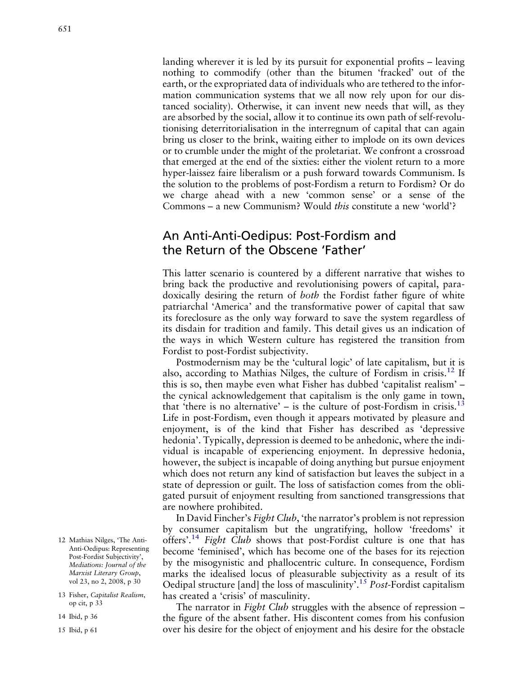landing wherever it is led by its pursuit for exponential profits – leaving nothing to commodify (other than the bitumen 'fracked' out of the earth, or the expropriated data of individuals who are tethered to the information communication systems that we all now rely upon for our distanced sociality). Otherwise, it can invent new needs that will, as they are absorbed by the social, allow it to continue its own path of self-revolutionising deterritorialisation in the interregnum of capital that can again bring us closer to the brink, waiting either to implode on its own devices or to crumble under the might of the proletariat. We confront a crossroad that emerged at the end of the sixties: either the violent return to a more hyper-laissez faire liberalism or a push forward towards Communism. Is the solution to the problems of post-Fordism a return to Fordism? Or do we charge ahead with a new 'common sense' or a sense of the Commons – a new Communism? Would this constitute a new 'world'?

#### An Anti-Anti-Oedipus: Post-Fordism and the Return of the Obscene 'Father'

This latter scenario is countered by a different narrative that wishes to bring back the productive and revolutionising powers of capital, paradoxically desiring the return of both the Fordist father figure of white patriarchal 'America' and the transformative power of capital that saw its foreclosure as the only way forward to save the system regardless of its disdain for tradition and family. This detail gives us an indication of the ways in which Western culture has registered the transition from Fordist to post-Fordist subjectivity.

Postmodernism may be the 'cultural logic' of late capitalism, but it is also, according to Mathias Nilges, the culture of Fordism in crisis.<sup>12</sup> If this is so, then maybe even what Fisher has dubbed 'capitalist realism' – the cynical acknowledgement that capitalism is the only game in town, that 'there is no alternative' – is the culture of post-Fordism in crisis.<sup>13</sup> Life in post-Fordism, even though it appears motivated by pleasure and enjoyment, is of the kind that Fisher has described as 'depressive hedonia'. Typically, depression is deemed to be anhedonic, where the individual is incapable of experiencing enjoyment. In depressive hedonia, however, the subject is incapable of doing anything but pursue enjoyment which does not return any kind of satisfaction but leaves the subject in a state of depression or guilt. The loss of satisfaction comes from the obligated pursuit of enjoyment resulting from sanctioned transgressions that are nowhere prohibited.

In David Fincher's Fight Club, 'the narrator's problem is not repression by consumer capitalism but the ungratifying, hollow 'freedoms' it offers'.<sup>14</sup> Fight Club shows that post-Fordist culture is one that has become 'feminised', which has become one of the bases for its rejection by the misogynistic and phallocentric culture. In consequence, Fordism marks the idealised locus of pleasurable subjectivity as a result of its Oedipal structure [and] the loss of masculinity<sup>5</sup>.<sup>15</sup> Post-Fordist capitalism has created a 'crisis' of masculinity.

The narrator in *Fight Club* struggles with the absence of repression – the figure of the absent father. His discontent comes from his confusion over his desire for the object of enjoyment and his desire for the obstacle

- 12 Mathias Nilges, 'The Anti-Anti-Oedipus: Representing Post-Fordist Subjectivity', Mediations: Journal of the Marxist Literary Group, vol 23, no 2, 2008, p 30
- 13 Fisher, Capitalist Realism, op cit, p 33
- 14 Ibid, p 36
- 15 Ibid, p 61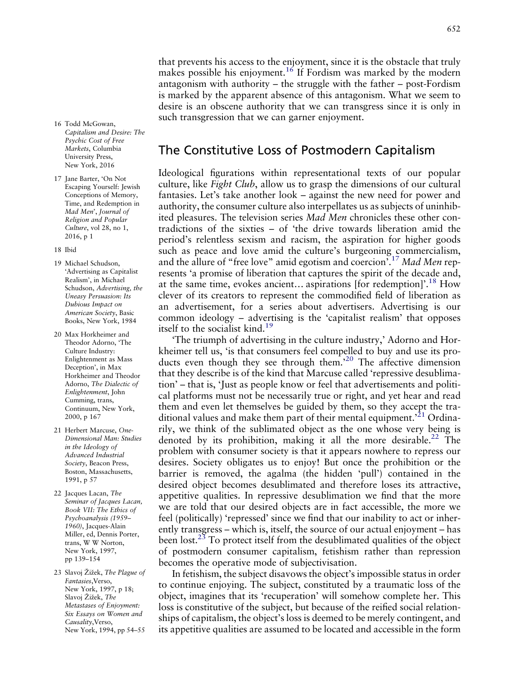that prevents his access to the enjoyment, since it is the obstacle that truly makes possible his enjoyment.<sup>16</sup> If Fordism was marked by the modern antagonism with authority – the struggle with the father – post-Fordism is marked by the apparent absence of this antagonism. What we seem to desire is an obscene authority that we can transgress since it is only in such transgression that we can garner enjoyment.

- 16 Todd McGowan, Capitalism and Desire: The Psychic Cost of Free Markets, Columbia University Press, New York, 2016
- 17 Jane Barter, 'On Not Escaping Yourself: Jewish Conceptions of Memory, Time, and Redemption in Mad Men', Journal of Religion and Popular Culture, vol 28, no 1, 2016, p 1
- 18 Ibid
- 19 Michael Schudson, 'Advertising as Capitalist Realism', in Michael Schudson, Advertising, the Uneasy Persuasion: Its Dubious Impact on American Society, Basic Books, New York, 1984
- 20 Max Horkheimer and Theodor Adorno, 'The Culture Industry: Enlightenment as Mass Deception', in Max Horkheimer and Theodor Adorno, The Dialectic of Enlightenment, John Cumming, trans, Continuum, New York, 2000, p 167
- 21 Herbert Marcuse, One-Dimensional Man: Studies in the Ideology of Advanced Industrial Society, Beacon Press, Boston, Massachusetts, 1991, p 57
- 22 Jacques Lacan, The Seminar of Jacques Lacan, Book VII: The Ethics of Psychoanalysis (1959– 1960), Jacques-Alain Miller, ed, Dennis Porter, trans, W W Norton, New York, 1997, pp 139–154
- 23 Slavoj Žižek, The Plague of Fantasies,Verso, New York, 1997, p 18; Slavoj Žižek, The Metastases of Enjoyment: Six Essays on Women and Causality,Verso, New York, 1994, pp 54–55

#### The Constitutive Loss of Postmodern Capitalism

Ideological figurations within representational texts of our popular culture, like Fight Club, allow us to grasp the dimensions of our cultural fantasies. Let's take another look – against the new need for power and authority, the consumer culture also interpellates us as subjects of uninhibited pleasures. The television series Mad Men chronicles these other contradictions of the sixties – of 'the drive towards liberation amid the period's relentless sexism and racism, the aspiration for higher goods such as peace and love amid the culture's burgeoning commercialism, and the allure of "free love" amid egotism and coercion<sup>7.17</sup> Mad Men represents 'a promise of liberation that captures the spirit of the decade and, at the same time, evokes ancient... aspirations [for redemption]'.<sup>18</sup> How clever of its creators to represent the commodified field of liberation as an advertisement, for a series about advertisers. Advertising is our common ideology – advertising is the 'capitalist realism' that opposes itself to the socialist kind.<sup>19</sup>

'The triumph of advertising in the culture industry,' Adorno and Horkheimer tell us, 'is that consumers feel compelled to buy and use its products even though they see through them.<sup>20</sup> The affective dimension that they describe is of the kind that Marcuse called 'repressive desublimation' – that is, 'Just as people know or feel that advertisements and political platforms must not be necessarily true or right, and yet hear and read them and even let themselves be guided by them, so they accept the traditional values and make them part of their mental equipment.<sup>21</sup> Ordinarily, we think of the sublimated object as the one whose very being is denoted by its prohibition, making it all the more desirable.<sup>22</sup> The problem with consumer society is that it appears nowhere to repress our desires. Society obligates us to enjoy! But once the prohibition or the barrier is removed, the agalma (the hidden 'pull') contained in the desired object becomes desublimated and therefore loses its attractive, appetitive qualities. In repressive desublimation we find that the more we are told that our desired objects are in fact accessible, the more we feel (politically) 'repressed' since we find that our inability to act or inherently transgress – which is, itself, the source of our actual enjoyment – has been lost.<sup>23</sup> To protect itself from the desublimated qualities of the object of postmodern consumer capitalism, fetishism rather than repression becomes the operative mode of subjectivisation.

In fetishism, the subject disavows the object's impossible status in order to continue enjoying. The subject, constituted by a traumatic loss of the object, imagines that its 'recuperation' will somehow complete her. This loss is constitutive of the subject, but because of the reified social relationships of capitalism, the object's loss is deemed to be merely contingent, and its appetitive qualities are assumed to be located and accessible in the form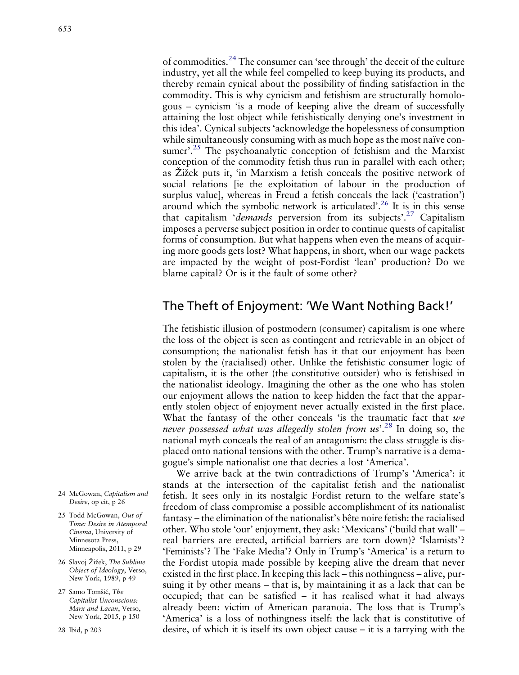of commodities.<sup>24</sup> The consumer can 'see through' the deceit of the culture industry, yet all the while feel compelled to keep buying its products, and thereby remain cynical about the possibility of finding satisfaction in the commodity. This is why cynicism and fetishism are structurally homologous – cynicism 'is a mode of keeping alive the dream of successfully attaining the lost object while fetishistically denying one's investment in this idea'. Cynical subjects 'acknowledge the hopelessness of consumption while simultaneously consuming with as much hope as the most naïve consumer'.<sup>25</sup> The psychoanalytic conception of fetishism and the Marxist conception of the commodity fetish thus run in parallel with each other; as Žižek puts it, 'in Marxism a fetish conceals the positive network of social relations [ie the exploitation of labour in the production of surplus value], whereas in Freud a fetish conceals the lack ('castration') around which the symbolic network is articulated'. <sup>26</sup> It is in this sense that capitalism 'demands perversion from its subjects'.<sup>27</sup> Capitalism imposes a perverse subject position in order to continue quests of capitalist forms of consumption. But what happens when even the means of acquiring more goods gets lost? What happens, in short, when our wage packets are impacted by the weight of post-Fordist 'lean' production? Do we blame capital? Or is it the fault of some other?

#### The Theft of Enjoyment: 'We Want Nothing Back!'

The fetishistic illusion of postmodern (consumer) capitalism is one where the loss of the object is seen as contingent and retrievable in an object of consumption; the nationalist fetish has it that our enjoyment has been stolen by the (racialised) other. Unlike the fetishistic consumer logic of capitalism, it is the other (the constitutive outsider) who is fetishised in the nationalist ideology. Imagining the other as the one who has stolen our enjoyment allows the nation to keep hidden the fact that the apparently stolen object of enjoyment never actually existed in the first place. What the fantasy of the other conceals 'is the traumatic fact that  $we$ never possessed what was allegedly stolen from us'.<sup>28</sup> In doing so, the national myth conceals the real of an antagonism: the class struggle is displaced onto national tensions with the other. Trump's narrative is a demagogue's simple nationalist one that decries a lost 'America'.

We arrive back at the twin contradictions of Trump's 'America': it stands at the intersection of the capitalist fetish and the nationalist fetish. It sees only in its nostalgic Fordist return to the welfare state's freedom of class compromise a possible accomplishment of its nationalist fantasy – the elimination of the nationalist's bête noire fetish: the racialised other. Who stole 'our' enjoyment, they ask: 'Mexicans' ('build that wall' – real barriers are erected, artificial barriers are torn down)? 'Islamists'? 'Feminists'? The 'Fake Media'? Only in Trump's 'America' is a return to the Fordist utopia made possible by keeping alive the dream that never existed in the first place. In keeping this lack – this nothingness – alive, pursuing it by other means – that is, by maintaining it as a lack that can be occupied; that can be satisfied – it has realised what it had always already been: victim of American paranoia. The loss that is Trump's 'America' is a loss of nothingness itself: the lack that is constitutive of desire, of which it is itself its own object cause – it is a tarrying with the

- 24 McGowan, Capitalism and Desire, op cit, p 26
- 25 Todd McGowan, Out of Time: Desire in Atemporal Cinema, University of Minnesota Press, Minneapolis, 2011, p 29
- 26 Slavoj Žižek, The Sublime Object of Ideology, Verso, New York, 1989, p 49
- 27 Samo Tomšič, The Capitalist Unconscious: Marx and Lacan, Verso, New York, 2015, p 150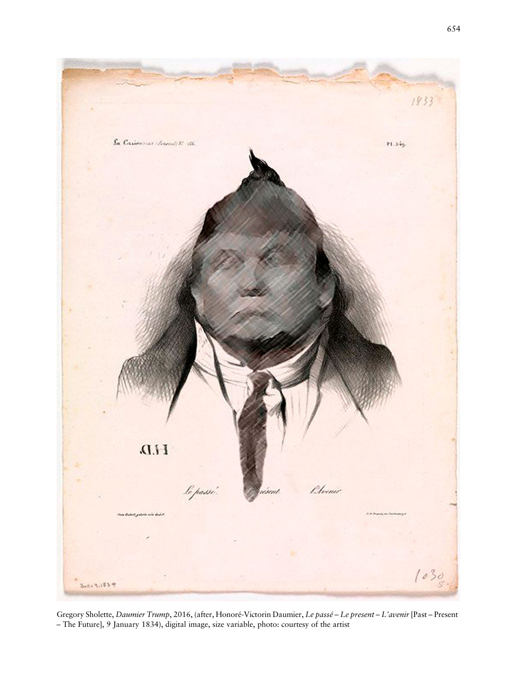

Gregory Sholette, Daumier Trump, 2016, (after, Honoré-Victorin Daumier, Le passé – Le present – L'avenir [Past – Present – The Future], 9 January 1834), digital image, size variable, photo: courtesy of the artist